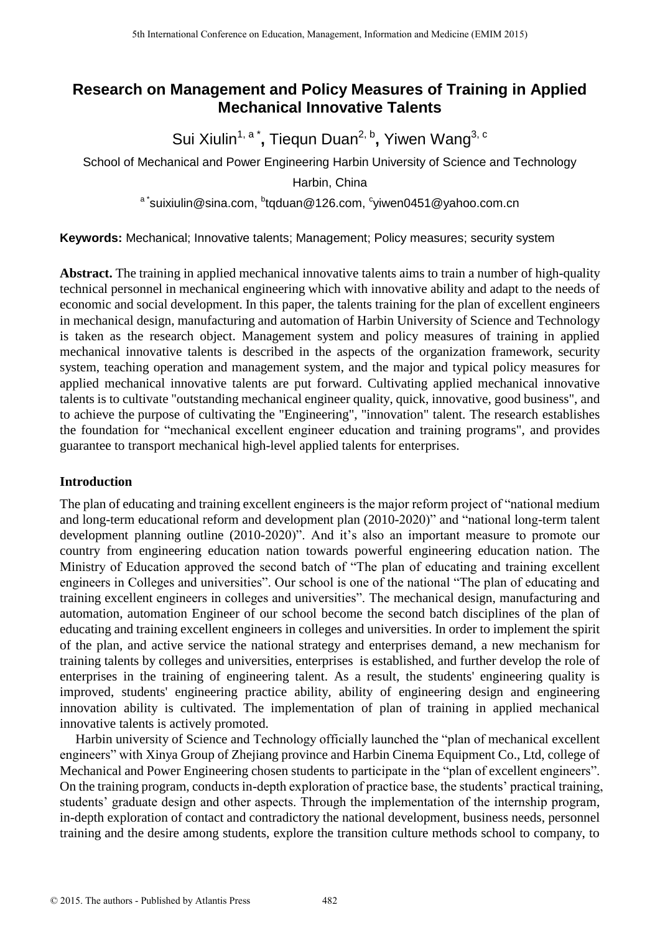# **Research on Management and Policy Measures of Training in Applied Mechanical Innovative Talents**

Sui Xiulin<sup>1, a\*</sup>, Tiequn Duan<sup>2, b</sup>, Yiwen Wang<sup>3, c</sup>

School of Mechanical and Power Engineering Harbin University of Science and Technology

Harbin, China

 $^{\circ}$ suixiulin@sina.com,  $^{\circ}$ [tqduan@126.com,](http://m0.mail.sina.com.cn/classic/index.php)  $^{\circ}$ yiwen0451@yahoo.com.cn

**Keywords:** Mechanical; Innovative talents; Management; Policy measures; security system

**Abstract.** The training in applied mechanical innovative talents aims to train a number of high-quality technical personnel in mechanical engineering which with innovative ability and adapt to the needs of economic and social development. In this paper, the talents training for the plan of excellent engineers in mechanical design, manufacturing and automation of Harbin University of Science and Technology is taken as the research object. Management system and policy measures of training in applied mechanical innovative talents is described in the aspects of the organization framework, security system, teaching operation and management system, and the major and typical policy measures for applied mechanical innovative talents are put forward. Cultivating applied mechanical innovative talents is to cultivate "outstanding mechanical engineer quality, quick, innovative, good business", and to achieve the purpose of cultivating the "Engineering", "innovation" talent. The research establishes the foundation for "mechanical excellent engineer education and training programs", and provides guarantee to transport mechanical high-level applied talents for enterprises.

# **Introduction**

The plan of educating and training excellent engineers is the major reform project of "national medium and long-term educational reform and development plan (2010-2020)" and "national long-term talent development planning outline (2010-2020)". And it's also an important measure to promote our country from engineering education nation towards powerful engineering education nation. The Ministry of Education approved the second batch of "The plan of educating and training excellent engineers in Colleges and universities". Our school is one of the national "The plan of educating and training excellent engineers in colleges and universities". The mechanical design, manufacturing and automation, automation Engineer of our school become the second batch disciplines of the plan of educating and training excellent engineers in colleges and universities. In order to implement the spirit of the plan, and active service the national strategy and enterprises demand, a new mechanism for training talents by colleges and universities, enterprises is established, and further develop the role of enterprises in the training of engineering talent. As a result, the students' engineering quality is improved, students' engineering practice ability, ability of engineering design and engineering innovation ability is cultivated. The implementation of plan of training in applied mechanical innovative talents is actively promoted.

Harbin university of Science and Technology officially launched the "plan of mechanical excellent engineers" with Xinya Group of Zhejiang province and Harbin Cinema Equipment Co., Ltd, college of Mechanical and Power Engineering chosen students to participate in the "plan of excellent engineers". On the training program, conducts in-depth exploration of practice base, the students' practical training, students' graduate design and other aspects. Through the implementation of the internship program, in-depth exploration of contact and contradictory the national development, business needs, personnel training and the desire among students, explore the transition culture methods school to company, to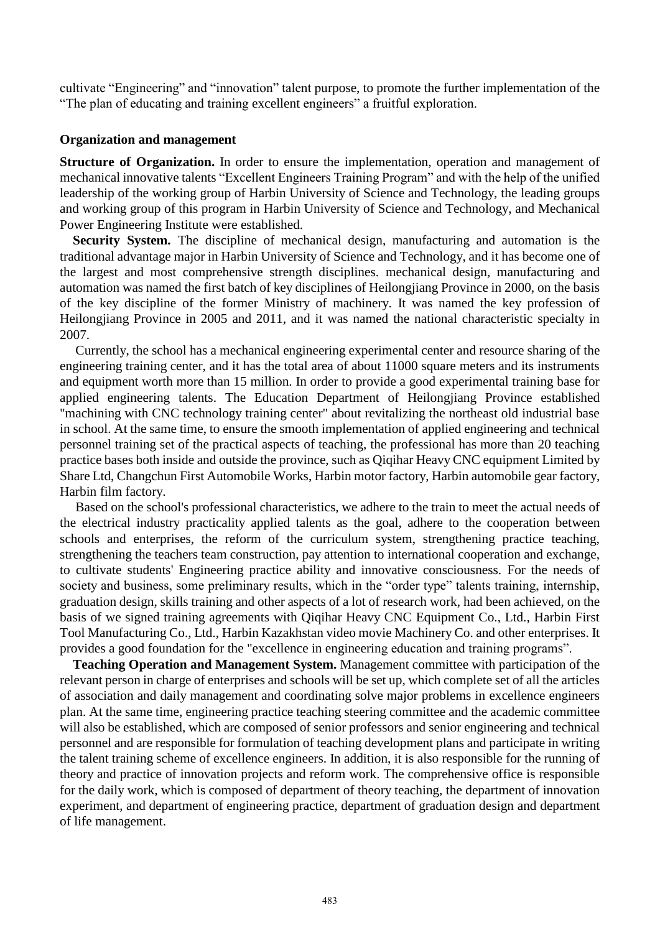cultivate "Engineering" and "innovation" talent purpose, to promote the further implementation of the "The plan of educating and training excellent engineers" a fruitful exploration.

## **Organization and management**

**Structure of Organization.** In order to ensure the implementation, operation and management of mechanical innovative talents "Excellent Engineers Training Program" and with the help of the unified leadership of the working group of Harbin University of Science and Technology, the leading groups and working group of this program in Harbin University of Science and Technology, and Mechanical Power Engineering Institute were established.

**Security System.** The discipline of mechanical design, manufacturing and automation is the traditional advantage major in Harbin University of Science and Technology, and it has become one of the largest and most comprehensive strength disciplines. mechanical design, manufacturing and automation was named the first batch of key disciplines of Heilongjiang Province in 2000, on the basis of the key discipline of the former Ministry of machinery. It was named the key profession of Heilongjiang Province in 2005 and 2011, and it was named the national characteristic specialty in 2007.

Currently, the school has a mechanical engineering experimental center and resource sharing of the engineering training center, and it has the total area of about 11000 square meters and its instruments and equipment worth more than 15 million. In order to provide a good experimental training base for applied engineering talents. The Education Department of Heilongjiang Province established "machining with CNC technology training center" about revitalizing the northeast old industrial base in school. At the same time, to ensure the smooth implementation of applied engineering and technical personnel training set of the practical aspects of teaching, the professional has more than 20 teaching practice bases both inside and outside the province, such as Qiqihar Heavy CNC equipment Limited by Share Ltd, Changchun First Automobile Works, Harbin motor factory, Harbin automobile gear factory, Harbin film factory.

Based on the school's professional characteristics, we adhere to the train to meet the actual needs of the electrical industry practicality applied talents as the goal, adhere to the cooperation between schools and enterprises, the reform of the curriculum system, strengthening practice teaching, strengthening the teachers team construction, pay attention to international cooperation and exchange, to cultivate students' Engineering practice ability and innovative consciousness. For the needs of society and business, some preliminary results, which in the "order type" talents training, internship, graduation design, skills training and other aspects of a lot of research work, had been achieved, on the basis of we signed training agreements with Qiqihar Heavy CNC Equipment Co., Ltd., Harbin First Tool Manufacturing Co., Ltd., Harbin Kazakhstan video movie Machinery Co. and other enterprises. It provides a good foundation for the "excellence in engineering education and training programs".

**Teaching Operation and Management System.** Management committee with participation of the relevant person in charge of enterprises and schools will be set up, which complete set of all the articles of association and daily management and coordinating solve major problems in excellence engineers plan. At the same time, engineering practice teaching steering committee and the academic committee will also be established, which are composed of senior professors and senior engineering and technical personnel and are responsible for formulation of teaching development plans and participate in writing the talent training scheme of excellence engineers. In addition, it is also responsible for the running of theory and practice of innovation projects and reform work. The comprehensive office is responsible for the daily work, which is composed of department of theory teaching, the department of innovation experiment, and department of engineering practice, department of graduation design and department of life management.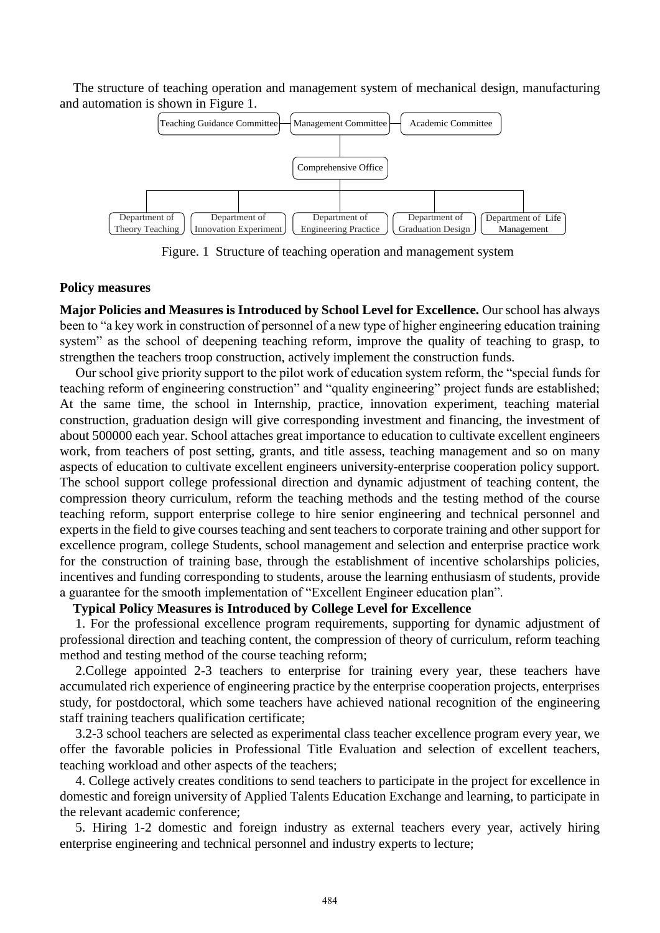The structure of teaching operation and management system of mechanical design, manufacturing and automation is shown in Figure 1.



Figure. 1 Structure of teaching operation and management system

## **Policy measures**

**Major Policies and Measures is Introduced by School Level for Excellence.** Our school has always been to "a key work in construction of personnel of a new type of higher engineering education training system" as the school of deepening teaching reform, improve the quality of teaching to grasp, to strengthen the teachers troop construction, actively implement the construction funds.

Our school give priority support to the pilot work of education system reform, the "special funds for teaching reform of engineering construction" and "quality engineering" project funds are established; At the same time, the school in Internship, practice, innovation experiment, teaching material construction, graduation design will give corresponding investment and financing, the investment of about 500000 each year. School attaches great importance to education to cultivate excellent engineers work, from teachers of post setting, grants, and title assess, teaching management and so on many aspects of education to cultivate excellent engineers university-enterprise cooperation policy support. The school support college professional direction and dynamic adjustment of teaching content, the compression theory curriculum, reform the teaching methods and the testing method of the course teaching reform, support enterprise college to hire senior engineering and technical personnel and experts in the field to give courses teaching and sent teachers to corporate training and other support for excellence program, college Students, school management and selection and enterprise practice work for the construction of training base, through the establishment of incentive scholarships policies, incentives and funding corresponding to students, arouse the learning enthusiasm of students, provide a guarantee for the smooth implementation of "Excellent Engineer education plan".

# **Typical Policy Measures is Introduced by College Level for Excellence**

1. For the professional excellence program requirements, supporting for dynamic adjustment of professional direction and teaching content, the compression of theory of curriculum, reform teaching method and testing method of the course teaching reform;

2.College appointed 2-3 teachers to enterprise for training every year, these teachers have accumulated rich experience of engineering practice by the enterprise cooperation projects, enterprises study, for postdoctoral, which some teachers have achieved national recognition of the engineering staff training teachers qualification certificate;

3.2-3 school teachers are selected as experimental class teacher excellence program every year, we offer the favorable policies in Professional Title Evaluation and selection of excellent teachers, teaching workload and other aspects of the teachers;

4. College actively creates conditions to send teachers to participate in the project for excellence in domestic and foreign university of Applied Talents Education Exchange and learning, to participate in the relevant academic conference;

5. Hiring 1-2 domestic and foreign industry as external teachers every year, actively hiring enterprise engineering and technical personnel and industry experts to lecture;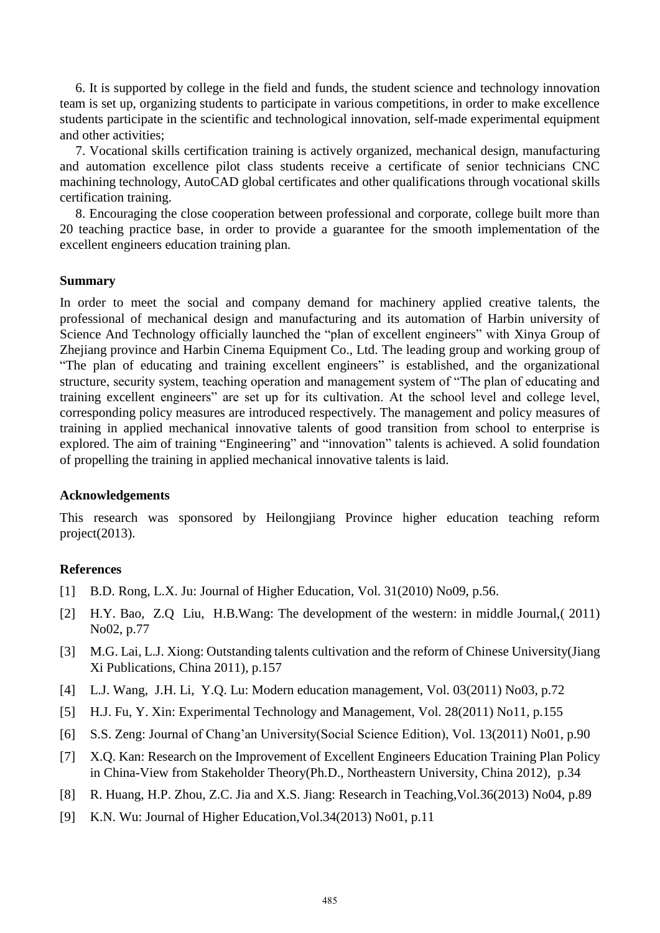6. It is supported by college in the field and funds, the student science and technology innovation team is set up, organizing students to participate in various competitions, in order to make excellence students participate in the scientific and technological innovation, self-made experimental equipment and other activities;

7. Vocational skills certification training is actively organized, mechanical design, manufacturing and automation excellence pilot class students receive a certificate of senior technicians CNC machining technology, AutoCAD global certificates and other qualifications through vocational skills certification training.

8. Encouraging the close cooperation between professional and corporate, college built more than 20 teaching practice base, in order to provide a guarantee for the smooth implementation of the excellent engineers education training plan.

#### **Summary**

In order to meet the social and company demand for machinery applied creative talents, the professional of mechanical design and manufacturing and its automation of Harbin university of Science And Technology officially launched the "plan of excellent engineers" with Xinya Group of Zhejiang province and Harbin Cinema Equipment Co., Ltd. The leading group and working group of "The plan of educating and training excellent engineers" is established, and the organizational structure, security system, teaching operation and management system of "The plan of educating and training excellent engineers" are set up for its cultivation. At the school level and college level, corresponding policy measures are introduced respectively. The management and policy measures of training in applied mechanical innovative talents of good transition from school to enterprise is explored. The aim of training "Engineering" and "innovation" talents is achieved. A solid foundation of propelling the training in applied mechanical innovative talents is laid.

## **Acknowledgements**

This research was sponsored by Heilongjiang Province higher education teaching reform project(2013).

# **References**

- [1] B.D. Rong, L.X. Ju: Journal of Higher Education, Vol. 31(2010) No09, p.56.
- [2] H.Y. Bao, Z.Q Liu, H.B.Wang: The development of the western: in middle Journal,( 2011) No02, p.77
- [3] M.G. Lai, L.J. Xiong: Outstanding talents cultivation and the reform of Chinese University(Jiang Xi Publications, China 2011), p.157
- [4] L.J. Wang, J.H. Li, Y.Q. Lu: Modern education management, Vol. 03(2011) No03, p.72
- [5] H.J. Fu, Y. Xin: Experimental Technology and Management, Vol. 28(2011) No11, p.155
- [6] S.S. Zeng: Journal of Chang'an University(Social Science Edition), Vol. 13(2011) No01, p.90
- [7] X.Q. Kan: Research on the Improvement of Excellent Engineers Education Training Plan Policy in China-View from Stakeholder Theory(Ph.D., Northeastern University, China 2012), p.34
- [8] R. Huang, H.P. Zhou, Z.C. Jia and X.S. Jiang: Research in Teaching,Vol.36(2013) No04, p.89
- [9] K.N. Wu: Journal of Higher Education,Vol.34(2013) No01, p.11